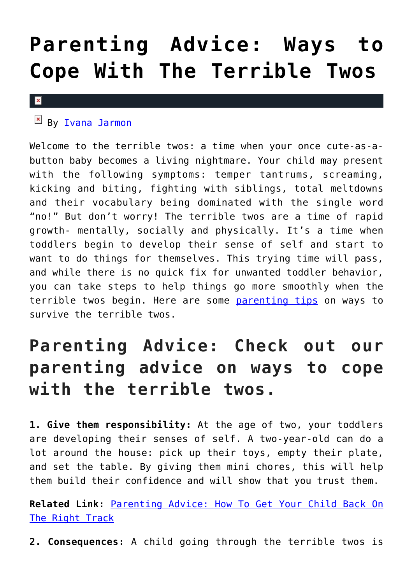## **[Parenting Advice: Ways to](https://cupidspulse.com/127413/parenting-advice-ways-cope-terrible-twos/) [Cope With The Terrible Twos](https://cupidspulse.com/127413/parenting-advice-ways-cope-terrible-twos/)**

## $\pmb{\times}$

## $By$  [Ivana Jarmon](http://cupidspulse.com/126746/ivana-jarmon/)

Welcome to the terrible twos: a time when your once cute-as-abutton baby becomes a living nightmare. Your child may present with the following symptoms: temper tantrums, screaming, kicking and biting, fighting with siblings, total meltdowns and their vocabulary being dominated with the single word "no!" But don't worry! The terrible twos are a time of rapid growth- mentally, socially and physically. It's a time when toddlers begin to develop their sense of self and start to want to do things for themselves. This trying time will pass, and while there is no quick fix for unwanted toddler behavior, you can take steps to help things go more smoothly when the terrible twos begin. Here are some [parenting tips](http://cupidspulse.com/parenting/) on ways to survive the terrible twos.

## **Parenting Advice: Check out our parenting advice on ways to cope with the terrible twos.**

**1. Give them responsibility:** At the age of two, your toddlers are developing their senses of self. A two-year-old can do a lot around the house: pick up their toys, empty their plate, and set the table. By giving them mini chores, this will help them build their confidence and will show that you trust them.

**Related Link:** [Parenting Advice: How To Get Your Child Back On](http://cupidspulse.com/127220/parenting-advice-get-kid-on-right-track/) [The Right Track](http://cupidspulse.com/127220/parenting-advice-get-kid-on-right-track/)

**2. Consequences:** A child going through the terrible twos is